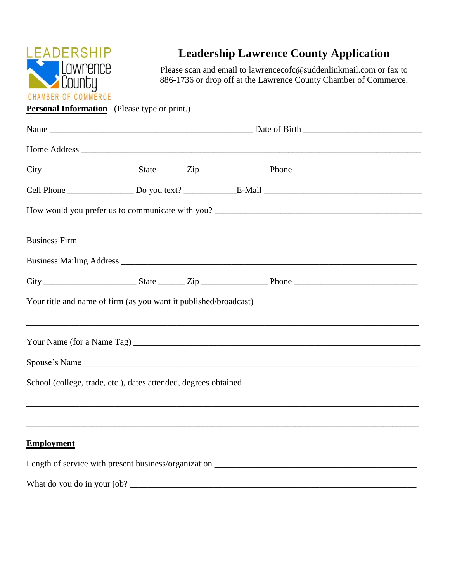

## **Leadership Lawrence County Application**

Please scan and email to lawrencecofc@suddenlinkmail.com or fax to 886-1736 or drop off at the Lawrence County Chamber of Commerce.

**Personal Information** (Please type or print.)

| <b>Employment</b> |  |  |  |  |
|-------------------|--|--|--|--|
|                   |  |  |  |  |
|                   |  |  |  |  |
|                   |  |  |  |  |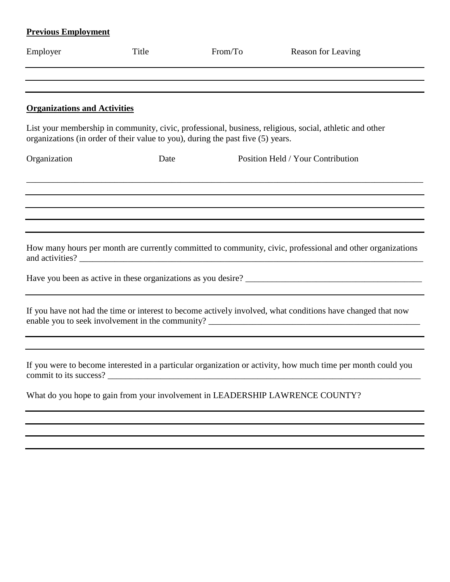## **Previous Employment**

| Employer                            | Title                                                                           | From/To | <b>Reason for Leaving</b>                                                                                    |
|-------------------------------------|---------------------------------------------------------------------------------|---------|--------------------------------------------------------------------------------------------------------------|
|                                     |                                                                                 |         |                                                                                                              |
| <b>Organizations and Activities</b> |                                                                                 |         |                                                                                                              |
|                                     | organizations (in order of their value to you), during the past five (5) years. |         | List your membership in community, civic, professional, business, religious, social, athletic and other      |
| Organization                        | Date                                                                            |         | Position Held / Your Contribution                                                                            |
|                                     |                                                                                 |         |                                                                                                              |
|                                     |                                                                                 |         |                                                                                                              |
|                                     |                                                                                 |         | How many hours per month are currently committed to community, civic, professional and other organizations   |
|                                     |                                                                                 |         |                                                                                                              |
|                                     |                                                                                 |         | If you have not had the time or interest to become actively involved, what conditions have changed that now  |
|                                     | commit to its success?                                                          |         | If you were to become interested in a particular organization or activity, how much time per month could you |
|                                     |                                                                                 |         | What do you hope to gain from your involvement in LEADERSHIP LAWRENCE COUNTY?                                |
|                                     |                                                                                 |         |                                                                                                              |
|                                     |                                                                                 |         |                                                                                                              |